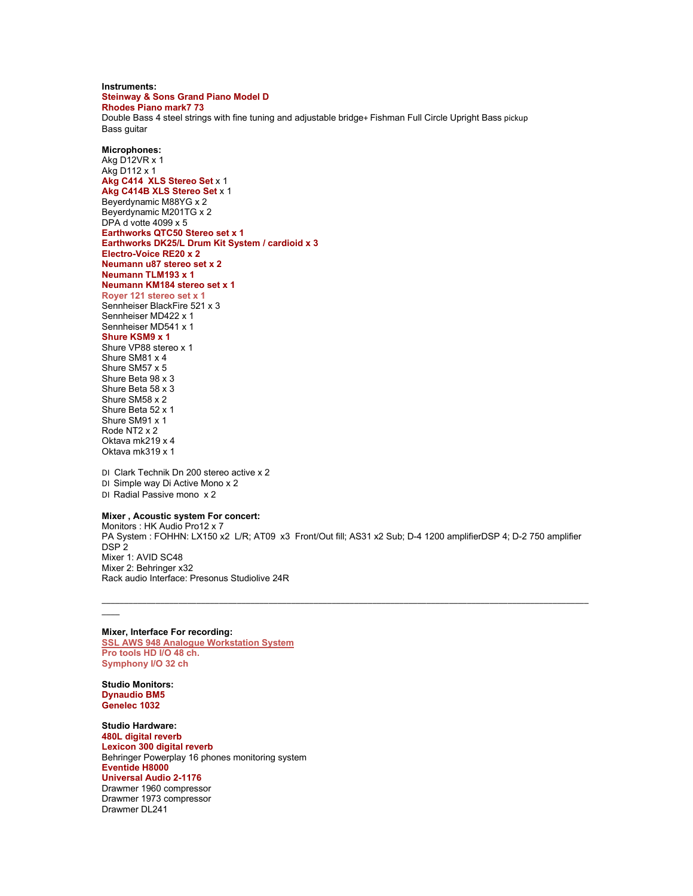**Instruments: Steinway & Sons Grand Piano Model D Rhodes Piano mark7 73** Double Bass 4 steel strings with fine tuning and adjustable bridge+ Fishman Full Circle Upright Bass pickup Bass guitar

**Microphones:** 

Akg D12VR x 1 Akg D112 x 1 **Akg C414 XLS Stereo Set** x 1 **Akg C414B XLS Stereo Set** x 1 Beyerdynamic M88YG x 2 Beyerdynamic M201TG x 2 DPA d votte 4099 x 5 **Earthworks QTC50 Stereo set x 1 Earthworks DK25/L Drum Kit System / cardioid x 3 Electro-Voice RE20 x 2 Neumann u87 stereo set x 2 Neumann TLM193 x 1 Neumann KM184 stereo set x 1 Royer 121 stereo set x 1** Sennheiser BlackFire 521 x 3 Sennheiser MD422 x 1 Sennheiser MD541 x 1 **Shure KSM9 x 1** Shure VP88 stereo x 1 Shure SM81 x 4 Shure SM57 x 5 Shure Beta 98 x 3 Shure Beta 58 x 3 Shure SM58 x 2 Shure Beta 52 x 1 Shure SM91 x 1 Rode NT2 x 2 Oktava mk219 x 4

DI Clark Technik Dn 200 stereo active x 2 DI Simple way Di Active Mono x 2 DI Radial Passive mono x 2

### **Mixer , Acoustic system For concert:**

Monitors : HK Audio Pro12 x 7 PA System : FOHHN: LX150 x2 L/R; AT09 x3 Front/Out fill; AS31 x2 Sub; D-4 1200 amplifierDSP 4; D-2 750 amplifier DSP<sub>2</sub> Mixer 1: AVID SC48 Mixer 2: Behringer x32 Rack audio Interface: Presonus Studiolive 24R

\_\_\_\_\_\_\_\_\_\_\_\_\_\_\_\_\_\_\_\_\_\_\_\_\_\_\_\_\_\_\_\_\_\_\_\_\_\_\_\_\_\_\_\_\_\_\_\_\_\_\_\_\_\_\_\_\_\_\_\_\_\_\_\_\_\_\_\_\_\_\_\_\_\_\_\_\_\_\_\_\_\_\_\_\_\_\_\_\_\_\_\_\_\_\_\_\_\_\_\_\_\_\_\_\_\_\_\_

**Mixer, Interface For recording:** 

**SSL AWS 948 Analogue Workstation System Pro tools HD I/O 48 ch. Symphony I/O 32 ch**

**Studio Monitors: Dynaudio BM5 Genelec 1032**

 $\overline{\phantom{a}}$ 

Oktava mk319 x 1

**Studio Hardware: 480L digital reverb Lexicon 300 digital reverb** Behringer Powerplay 16 phones monitoring system **Eventide H8000 Universal Audio 2-1176** Drawmer 1960 compressor Drawmer 1973 compressor Drawmer DL241